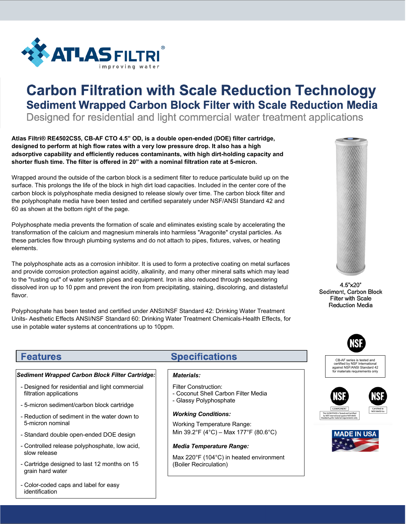

## **Carbon Filtration with Scale Reduction Technology Sediment Wrapped Carbon Block Filter with Scale Reduction Media**

Designed for residential and light commercial water treatment applications

**Atlas Filtri® RE4502CS5, CB-AF CTO 4.5" OD, is a double open-ended (DOE) filter cartridge, designed to perform at high flow rates with a very low pressure drop. It also has a high adsorptive capability and efficiently reduces contaminants, with high dirt-holding capacity and shorter flush time. The filter is offered in 20" with a nominal filtration rate at 5-micron.**

Wrapped around the outside of the carbon block is a sediment filter to reduce particulate build up on the surface. This prolongs the life of the block in high dirt load capacities. Included in the center core of the carbon block is polyphosphate media designed to release slowly over time. The carbon block filter and the polyphosphate media have been tested and certified separately under NSF/ANSI Standard 42 and 60 as shown at the bottom right of the page.

Polyphosphate media prevents the formation of scale and eliminates existing scale by accelerating the transformation of the calcium and magnesium minerals into harmless "Aragonite" crystal particles. As these particles flow through plumbing systems and do not attach to pipes, fixtures, valves, or heating elements.

The polyphosphate acts as a corrosion inhibitor. It is used to form a protective coating on metal surfaces and provide corrosion protection against acidity, alkalinity, and many other mineral salts which may lead to the "rusting out" of water system pipes and equipment. Iron is also reduced through sequestering dissolved iron up to 10 ppm and prevent the iron from precipitating, staining, discoloring, and distasteful flavor.

Polyphosphate has been tested and certified under ANSI/NSF Standard 42: Drinking Water Treatment Units- Aesthetic Effects ANSI/NSF Standard 60: Drinking Water Treatment Chemicals-Health Effects, for use in potable water systems at concentrations up to 10ppm.

4.5"x20" Sediment, Carbon Block **Filter with Scale Reduction Media** 



CB-AF series is tested and certified by NSF International against NSF/ANSI Standard 42 for materials requirements only







# **Features**

### *Sediment Wrapped Carbon Block Filter Cartridge:*

- Designed for residential and light commercial filtration applications
- 5-micron sediment/carbon block cartridge
- Reduction of sediment in the water down to 5-micron nominal
- Standard double open-ended DOE design
- Controlled release polyphosphate, low acid, slow release
- Cartridge designed to last 12 months on 15 grain hard water
- Color-coded caps and label for easy identification

### **Specifications**

#### *Materials:*

- Filter Construction:
- Coconut Shell Carbon Filter Media - Glassy Polyphosphate
- 

### *Working Conditions:*

Working Temperature Range: Min 39.2°F (4°C) – Max 177°F (80.6°C)

#### *Media Temperature Range:*

Max 220°F (104°C) in heated environment (Boiler Recirculation)